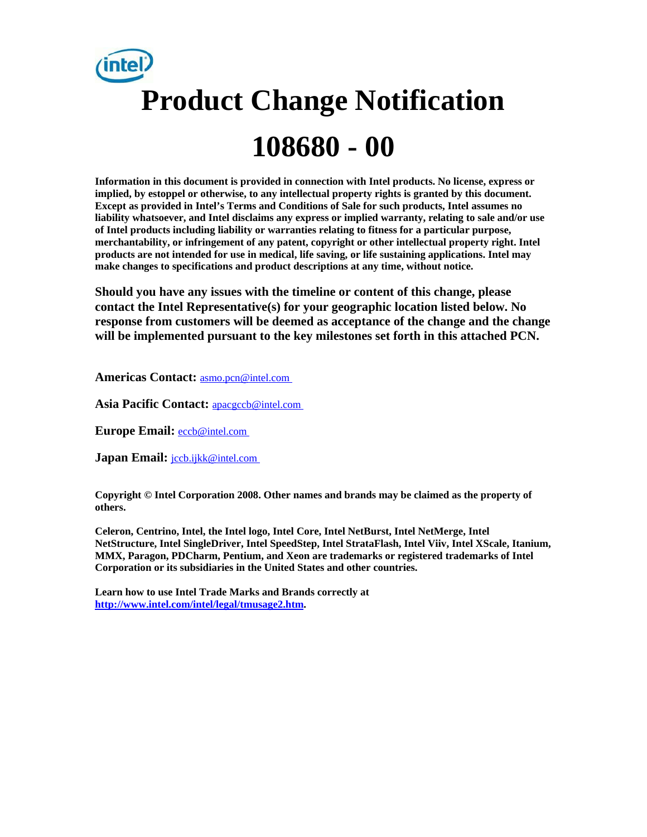# **Product Change Notification 108680 - 00**

**Information in this document is provided in connection with Intel products. No license, express or implied, by estoppel or otherwise, to any intellectual property rights is granted by this document. Except as provided in Intel's Terms and Conditions of Sale for such products, Intel assumes no liability whatsoever, and Intel disclaims any express or implied warranty, relating to sale and/or use of Intel products including liability or warranties relating to fitness for a particular purpose, merchantability, or infringement of any patent, copyright or other intellectual property right. Intel products are not intended for use in medical, life saving, or life sustaining applications. Intel may make changes to specifications and product descriptions at any time, without notice.** 

**Should you have any issues with the timeline or content of this change, please contact the Intel Representative(s) for your geographic location listed below. No response from customers will be deemed as acceptance of the change and the change will be implemented pursuant to the key milestones set forth in this attached PCN.** 

**Americas Contact:** [asmo.pcn@intel.com](mailto:asmo.pcn@intel.com) 

**Asia Pacific Contact:** [apacgccb@intel.com](mailto:apacgccb@intel.com) 

**Europe Email:** [eccb@intel.com](mailto:eccb@intel.com) 

**Japan Email:** *jccb.ijkk@intel.com* 

**Copyright © Intel Corporation 2008. Other names and brands may be claimed as the property of others.**

**Celeron, Centrino, Intel, the Intel logo, Intel Core, Intel NetBurst, Intel NetMerge, Intel NetStructure, Intel SingleDriver, Intel SpeedStep, Intel StrataFlash, Intel Viiv, Intel XScale, Itanium, MMX, Paragon, PDCharm, Pentium, and Xeon are trademarks or registered trademarks of Intel Corporation or its subsidiaries in the United States and other countries.** 

**Learn how to use Intel Trade Marks and Brands correctly at [http://www.intel.com/intel/legal/tmusage2.htm.](http://www.intel.com/intel/legal/tmusage2.htm)**